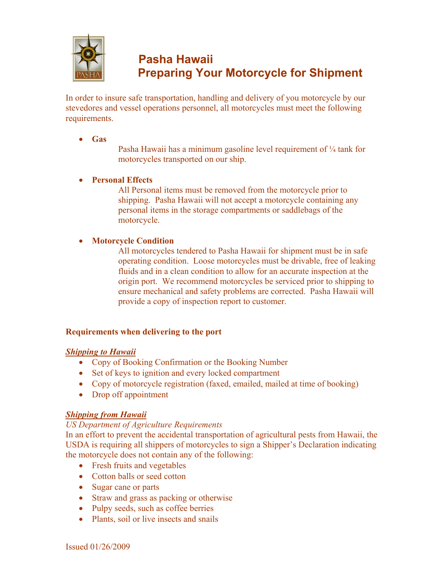

# **P asha Hawaii P reparing Your Motorcycle for Shipment**

In order to insure safe transportation, handling and delivery of you motorcycle by our stevedores and vessel operations personnel, all motorcycles must meet the following requirements.

 $\bullet$  **Gas** 

Pasha Hawaii has a minimum gasoline level requirement of  $\frac{1}{4}$  tank for motorcycles transported on our ship.

# x **Personal Effects**

All Personal items must be removed from the motorcycle prior to shipping. Pasha Hawaii will not accept a motorcycle containing any personal items in the storage compartments or saddlebags of the motorcycle.

# x **Motorcycle Condition**

All motorcycles tendered to Pasha Hawaii for shipment must be in safe operating condition. Loose motorcycles must be drivable, free of leaking fluids and in a clean condition to allow for an accurate inspection at the origin port. We recommend motorcycles be serviced prior to shipping to ensure mechanical and safety problems are corrected. Pasha Hawaii will provide a copy of inspection report to customer.

## **Requirements when delivering to the port**

## *Shipping to Hawaii*

- Copy of Booking Confirmation or the Booking Number
- $\bullet$  Set of keys to ignition and every locked compartment
- Copy of motorcycle registration (faxed, emailed, mailed at time of booking)
- Drop off appointment

## *Shipping from Hawaii*

## *US Department of Agriculture Requirements*

In an effort to prevent the accidental transportation of agricultural pests from Hawaii, the USDA is requiring all shippers of motorcycles to sign a Shipper's Declaration indicating the motorcycle does not contain any of the following:

- Fresh fruits and vegetables
- Cotton balls or seed cotton
- Sugar cane or parts
- Straw and grass as packing or otherwise
- Pulpy seeds, such as coffee berries
- Plants, soil or live insects and snails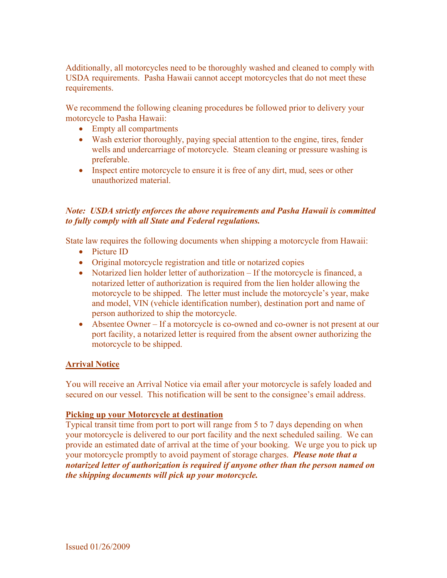Additionally, all motorcycles need to be thoroughly washed and cleaned to comply with USDA requirements. Pasha Hawaii cannot accept motorcycles that do not meet these requirements.

We recommend the following cleaning procedures be followed prior to delivery your motorcycle to Pasha Hawaii:

- $\bullet$  Empty all compartments
- Wash exterior thoroughly, paying special attention to the engine, tires, fender wells and undercarriage of motorcycle. Steam cleaning or pressure washing is preferable.
- Inspect entire motorcycle to ensure it is free of any dirt, mud, sees or other unauthorized material.

## *Note: USDA strictly enforces the above requirements and Pasha Hawaii is committed to fully comply with all State and Federal regulations.*

State law requires the following documents when shipping a motorcycle from Hawaii:

- Picture ID
- Original motorcycle registration and title or notarized copies
- Notarized lien holder letter of authorization  $-$  If the motorcycle is financed, a notarized letter of authorization is required from the lien holder allowing the motorcycle to be shipped. The letter must include the motorcycle's year, make and model, VIN (vehicle identification number), destination port and name of person authorized to ship the motorcycle.
- Absentee Owner If a motorcycle is co-owned and co-owner is not present at our port facility, a notarized letter is required from the absent owner authorizing the motorcycle to be shipped.

#### **Arrival Notice**

You will receive an Arrival Notice via email after your motorcycle is safely loaded and secured on our vessel. This notification will be sent to the consignee's email address.

#### **Picking up your Motorcycle at destination**

Typical transit time from port to port will range from 5 to 7 days depending on when your motorcycle is delivered to our port facility and the next scheduled sailing. We can provide an estimated date of arrival at the time of your booking. We urge you to pick up your motorcycle promptly to avoid payment of storage charges. *Please note that a notarized letter of authorization is required if anyone other than the person named on the shipping documents will pick up your motorcycle.*